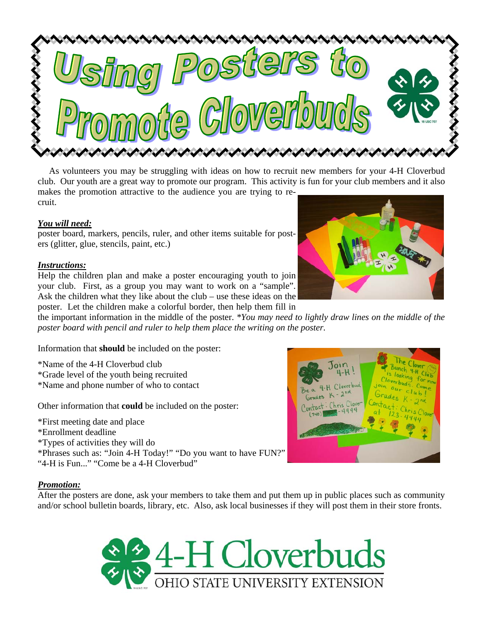

 As volunteers you may be struggling with ideas on how to recruit new members for your 4-H Cloverbud club. Our youth are a great way to promote our program. This activity is fun for your club members and it also makes the promotion attractive to the audience you are trying to recruit.

## *You will need:*

poster board, markers, pencils, ruler, and other items suitable for posters (glitter, glue, stencils, paint, etc.)

## *Instructions:*

Help the children plan and make a poster encouraging youth to join your club. First, as a group you may want to work on a "sample". Ask the children what they like about the club – use these ideas on the poster. Let the children make a colorful border, then help them fill in



the important information in the middle of the poster. *\*You may need to lightly draw lines on the middle of the poster board with pencil and ruler to help them place the writing on the poster.*

Information that **should** be included on the poster:

\*Name of the 4-H Cloverbud club \*Grade level of the youth being recruited \*Name and phone number of who to contact

Other information that **could** be included on the poster:

\*First meeting date and place \*Enrollment deadline \*Types of activities they will do \*Phrases such as: "Join 4-H Today!" "Do you want to have FUN?" "4-H is Fun..." "Come be a 4-H Cloverbud"



## *Promotion:*

After the posters are done, ask your members to take them and put them up in public places such as community and/or school bulletin boards, library, etc. Also, ask local businesses if they will post them in their store fronts.